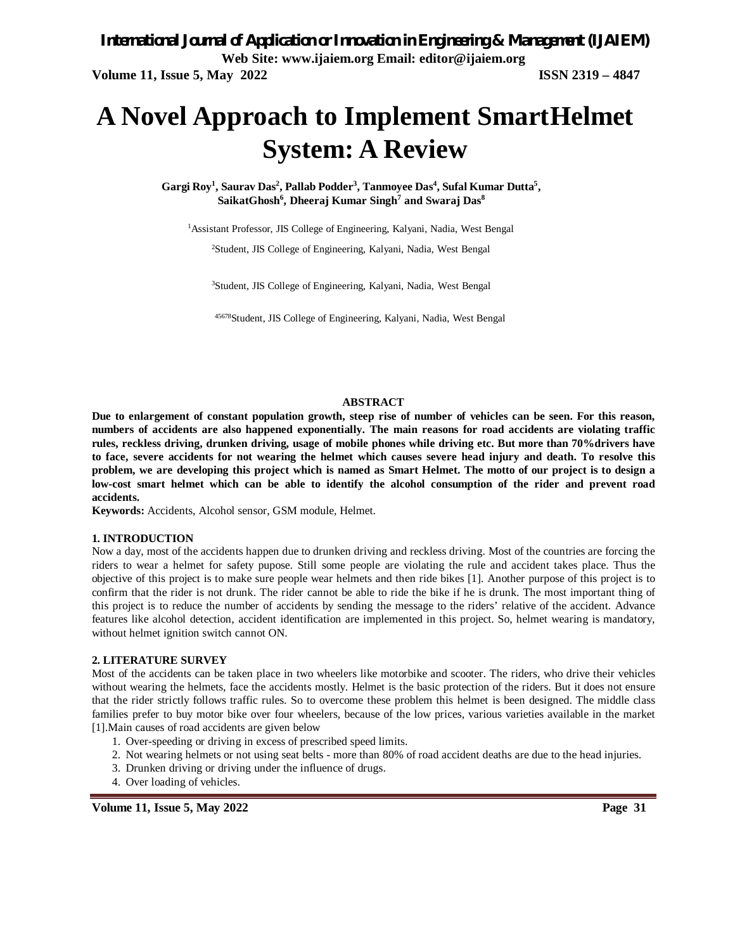# **A Novel Approach to Implement SmartHelmet System: A Review**

Gargi Roy<sup>1</sup>, Saurav Das<sup>2</sup>, Pallab Podder<sup>3</sup>, Tanmoyee Das<sup>4</sup>, Sufal Kumar Dutta<sup>5</sup>, **SaikatGhosh<sup>6</sup> , Dheeraj Kumar Singh<sup>7</sup> and Swaraj Das<sup>8</sup>**

<sup>1</sup> Assistant Professor, JIS College of Engineering, Kalyani, Nadia, West Bengal

<sup>2</sup>Student, JIS College of Engineering, Kalyani, Nadia, West Bengal

<sup>3</sup>Student, JIS College of Engineering, Kalyani, Nadia, West Bengal

<sup>45678</sup>Student, JIS College of Engineering, Kalyani, Nadia, West Bengal

#### **ABSTRACT**

**Due to enlargement of constant population growth, steep rise of number of vehicles can be seen. For this reason, numbers of accidents are also happened exponentially. The main reasons for road accidents are violating traffic rules, reckless driving, drunken driving, usage of mobile phones while driving etc. But more than 70%drivers have to face, severe accidents for not wearing the helmet which causes severe head injury and death. To resolve this problem, we are developing this project which is named as Smart Helmet. The motto of our project is to design a low-cost smart helmet which can be able to identify the alcohol consumption of the rider and prevent road accidents.**

**Keywords:** Accidents, Alcohol sensor, GSM module, Helmet.

#### **1. INTRODUCTION**

Now a day, most of the accidents happen due to drunken driving and reckless driving. Most of the countries are forcing the riders to wear a helmet for safety pupose. Still some people are violating the rule and accident takes place. Thus the objective of this project is to make sure people wear helmets and then ride bikes [1]. Another purpose of this project is to confirm that the rider is not drunk. The rider cannot be able to ride the bike if he is drunk. The most important thing of this project is to reduce the number of accidents by sending the message to the riders' relative of the accident. Advance features like alcohol detection, accident identification are implemented in this project. So, helmet wearing is mandatory, without helmet ignition switch cannot ON.

#### **2. LITERATURE SURVEY**

Most of the accidents can be taken place in two wheelers like motorbike and scooter. The riders, who drive their vehicles without wearing the helmets, face the accidents mostly. Helmet is the basic protection of the riders. But it does not ensure that the rider strictly follows traffic rules. So to overcome these problem this helmet is been designed. The middle class families prefer to buy motor bike over four wheelers, because of the low prices, various varieties available in the market [1].Main causes of road accidents are given below

- 1. Over-speeding or driving in excess of prescribed speed limits.
- 2. Not wearing helmets or not using seat belts more than 80% of road accident deaths are due to the head injuries.
- 3. Drunken driving or driving under the influence of drugs.
- 4. Over loading of vehicles.

**Volume 11, Issue 5, May 2022** Page 31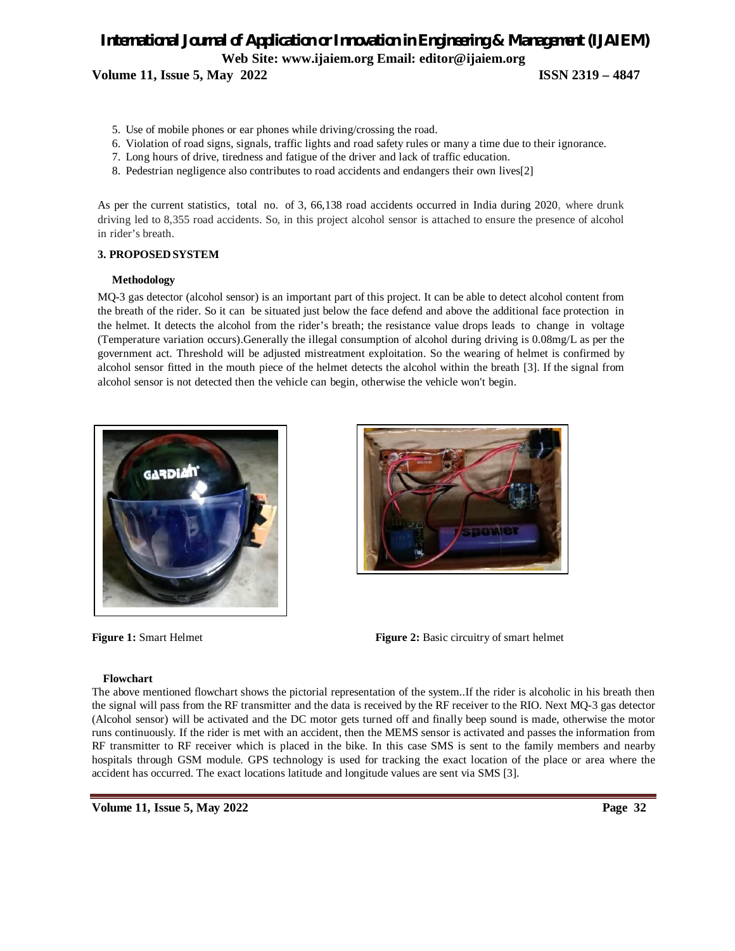- 5. Use of mobile phones or ear phones while driving/crossing the road.
- 6. Violation of road signs, signals, traffic lights and road safety rules or many a time due to their ignorance.
- 7. Long hours of drive, tiredness and fatigue of the driver and lack of traffic education.
- 8. Pedestrian negligence also contributes to road accidents and endangers their own lives[2]

As per the current statistics, total no. of 3, 66,138 road accidents occurred in India during 2020, where drunk driving led to 8,355 road accidents. So, in this project alcohol sensor is attached to ensure the presence of alcohol in rider's breath.

# **3. PROPOSEDSYSTEM**

### **Methodology**

MQ-3 gas detector (alcohol sensor) is an important part of this project. It can be able to detect alcohol content from the breath of the rider. So it can be situated just below the face defend and above the additional face protection in the helmet. It detects the alcohol from the rider's breath; the resistance value drops leads to change in voltage (Temperature variation occurs).Generally the illegal consumption of alcohol during driving is 0.08mg/L as per the government act. Threshold will be adjusted mistreatment exploitation. So the wearing of helmet is confirmed by alcohol sensor fitted in the mouth piece of the helmet detects the alcohol within the breath [3]. If the signal from alcohol sensor is not detected then the vehicle can begin, otherwise the vehicle won't begin.





**Figure 1:** Smart Helmet **Figure 2:** Basic circuitry of smart helmet



#### **Flowchart**

The above mentioned flowchart shows the pictorial representation of the system..If the rider is alcoholic in his breath then the signal will pass from the RF transmitter and the data is received by the RF receiver to the RIO. Next MQ-3 gas detector (Alcohol sensor) will be activated and the DC motor gets turned off and finally beep sound is made, otherwise the motor runs continuously. If the rider is met with an accident, then the MEMS sensor is activated and passes the information from RF transmitter to RF receiver which is placed in the bike. In this case SMS is sent to the family members and nearby hospitals through GSM module. GPS technology is used for tracking the exact location of the place or area where the accident has occurred. The exact locations latitude and longitude values are sent via SMS [3].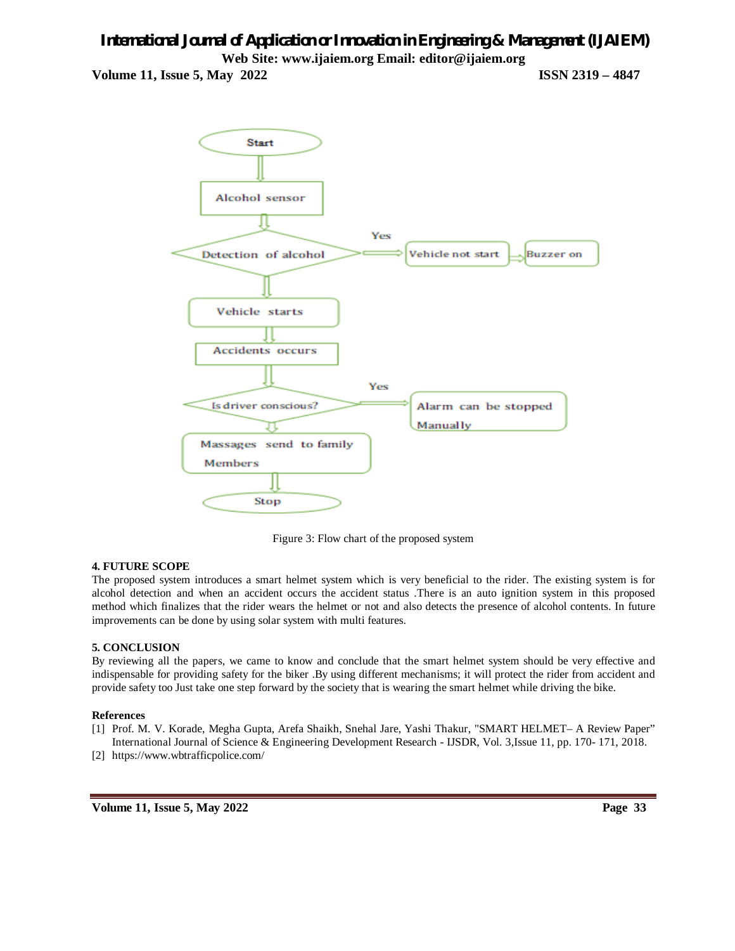

Figure 3: Flow chart of the proposed system

# **4. FUTURE SCOPE**

The proposed system introduces a smart helmet system which is very beneficial to the rider. The existing system is for alcohol detection and when an accident occurs the accident status .There is an auto ignition system in this proposed method which finalizes that the rider wears the helmet or not and also detects the presence of alcohol contents. In future improvements can be done by using solar system with multi features.

# **5. CONCLUSION**

By reviewing all the papers, we came to know and conclude that the smart helmet system should be very effective and indispensable for providing safety for the biker .By using different mechanisms; it will protect the rider from accident and provide safety too Just take one step forward by the society that is wearing the smart helmet while driving the bike.

# **References**

- [1] Prof. M. V. Korade, Megha Gupta, Arefa Shaikh, Snehal Jare, Yashi Thakur, "SMART HELMET– A Review Paper" International Journal of Science & Engineering Development Research - IJSDR, Vol. 3,Issue 11, pp. 170- 171, 2018.
- [2] https://www.wbtrafficpolice.com/